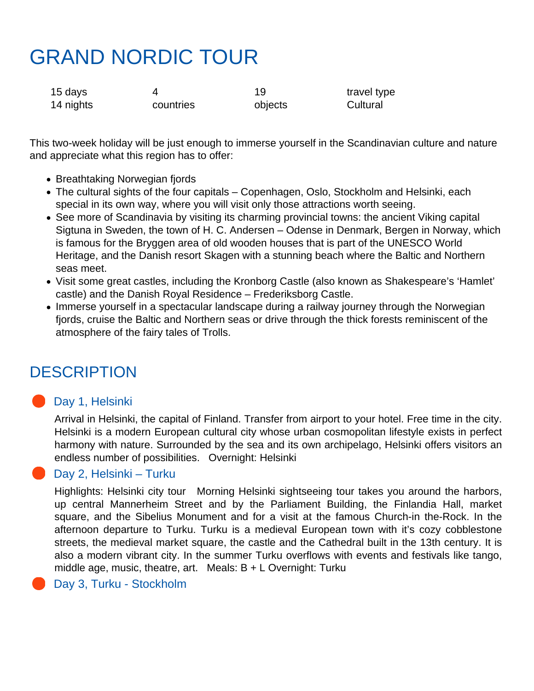# GRAND NORDIC TOUR

| 15 days   |           | 19      | travel type |
|-----------|-----------|---------|-------------|
| 14 nights | countries | objects | Cultural    |

This two-week holiday will be just enough to immerse yourself in the Scandinavian culture and nature and appreciate what this region has to offer:

- Breathtaking Norwegian fjords
- The cultural sights of the four capitals Copenhagen, Oslo, Stockholm and Helsinki, each special in its own way, where you will visit only those attractions worth seeing.
- See more of Scandinavia by visiting its charming provincial towns: the ancient Viking capital Sigtuna in Sweden, the town of H. C. Andersen – Odense in Denmark, Bergen in Norway, which is famous for the Bryggen area of old wooden houses that is part of the UNESCO World Heritage, and the Danish resort Skagen with a stunning beach where the Baltic and Northern seas meet.
- Visit some great castles, including the Kronborg Castle (also known as Shakespeare's 'Hamlet' castle) and the Danish Royal Residence – Frederiksborg Castle.
- Immerse yourself in a spectacular landscape during a railway journey through the Norwegian fjords, cruise the Baltic and Northern seas or drive through the thick forests reminiscent of the atmosphere of the fairy tales of Trolls.

# **DESCRIPTION**

## **Day 1, Helsinki**

Arrival in Helsinki, the capital of Finland. Transfer from airport to your hotel. Free time in the city. Helsinki is a modern European cultural city whose urban cosmopolitan lifestyle exists in perfect harmony with nature. Surrounded by the sea and its own archipelago, Helsinki offers visitors an endless number of possibilities. Overnight: Helsinki

### **Day 2, Helsinki – Turku**

Highlights: Helsinki city tour Morning Helsinki sightseeing tour takes you around the harbors, up central Mannerheim Street and by the Parliament Building, the Finlandia Hall, market square, and the Sibelius Monument and for a visit at the famous Church-in the-Rock. In the afternoon departure to Turku. Turku is a medieval European town with it's cozy cobblestone streets, the medieval market square, the castle and the Cathedral built in the 13th century. It is also a modern vibrant city. In the summer Turku overflows with events and festivals like tango, middle age, music, theatre, art. Meals:  $B + L$  Overnight: Turku

#### Day 3, Turku - Stockholm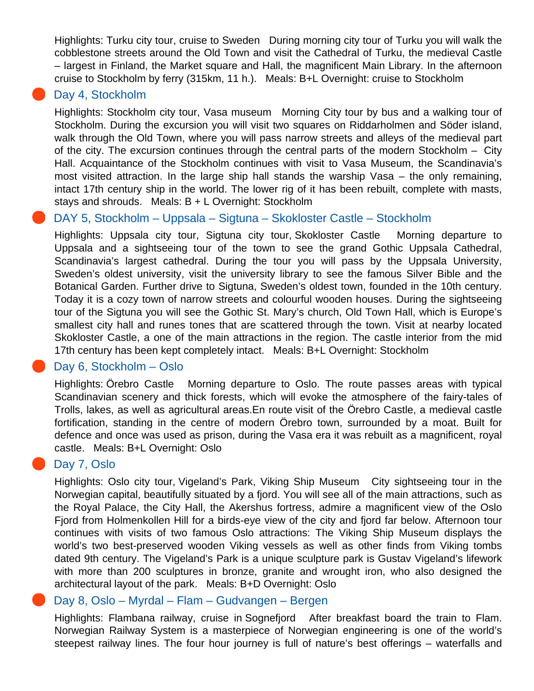Highlights: Turku city tour, cruise to Sweden During morning city tour of Turku you will walk the cobblestone streets around the Old Town and visit the Cathedral of Turku, the medieval Castle – largest in Finland, the Market square and Hall, the magnificent Main Library. In the afternoon cruise to Stockholm by ferry (315km, 11 h.). Meals: B+L Overnight: cruise to Stockholm

#### Day 4, Stockholm

Highlights: Stockholm city tour, Vasa museum Morning City tour by bus and a walking tour of Stockholm. During the excursion you will visit two squares on Riddarholmen and Söder island, walk through the Old Town, where you will pass narrow streets and alleys of the medieval part of the city. The excursion continues through the central parts of the modern Stockholm – City Hall. Acquaintance of the Stockholm continues with visit to Vasa Museum, the Scandinavia's most visited attraction. In the large ship hall stands the warship Vasa – the only remaining, intact 17th century ship in the world. The lower rig of it has been rebuilt, complete with masts, stays and shrouds. Meals: B + L Overnight: Stockholm

#### DAY 5, Stockholm – Uppsala – Sigtuna – Skokloster Castle – Stockholm

Highlights: Uppsala city tour, Sigtuna city tour, Skokloster Castle Morning departure to Uppsala and a sightseeing tour of the town to see the grand Gothic Uppsala Cathedral, Scandinavia's largest cathedral. During the tour you will pass by the Uppsala University, Sweden's oldest university, visit the university library to see the famous Silver Bible and the Botanical Garden. Further drive to Sigtuna, Sweden's oldest town, founded in the 10th century. Today it is a cozy town of narrow streets and colourful wooden houses. During the sightseeing tour of the Sigtuna you will see the Gothic St. Mary's church, Old Town Hall, which is Europe's smallest city hall and runes tones that are scattered through the town. Visit at nearby located Skokloster Castle, a one of the main attractions in the region. The castle interior from the mid 17th century has been kept completely intact. Meals: B+L Overnight: Stockholm

#### Day 6, Stockholm – Oslo

Highlights: Örebro Castle Morning departure to Oslo. The route passes areas with typical Scandinavian scenery and thick forests, which will evoke the atmosphere of the fairy-tales of Trolls, lakes, as well as agricultural areas.En route visit of the Örebro Castle, a medieval castle fortification, standing in the centre of modern Örebro town, surrounded by a moat. Built for defence and once was used as prison, during the Vasa era it was rebuilt as a magnificent, royal castle. Meals: B+L Overnight: Oslo

#### Day 7, Oslo

Highlights: Oslo city tour, Vigeland's Park, Viking Ship Museum City sightseeing tour in the Norwegian capital, beautifully situated by a fjord. You will see all of the main attractions, such as the Royal Palace, the City Hall, the Akershus fortress, admire a magnificent view of the Oslo Fjord from Holmenkollen Hill for a birds-eye view of the city and fjord far below. Afternoon tour continues with visits of two famous Oslo attractions: The Viking Ship Museum displays the world's two best-preserved wooden Viking vessels as well as other finds from Viking tombs dated 9th century. The Vigeland's Park is a unique sculpture park is Gustav Vigeland's lifework with more than 200 sculptures in bronze, granite and wrought iron, who also designed the architectural layout of the park. Meals: B+D Overnight: Oslo

#### Day 8, Oslo – Myrdal – Flam – Gudvangen – Bergen

Highlights: Flambana railway, cruise in Sognefjord After breakfast board the train to Flam. Norwegian Railway System is a masterpiece of Norwegian engineering is one of the world's steepest railway lines. The four hour journey is full of nature's best offerings – waterfalls and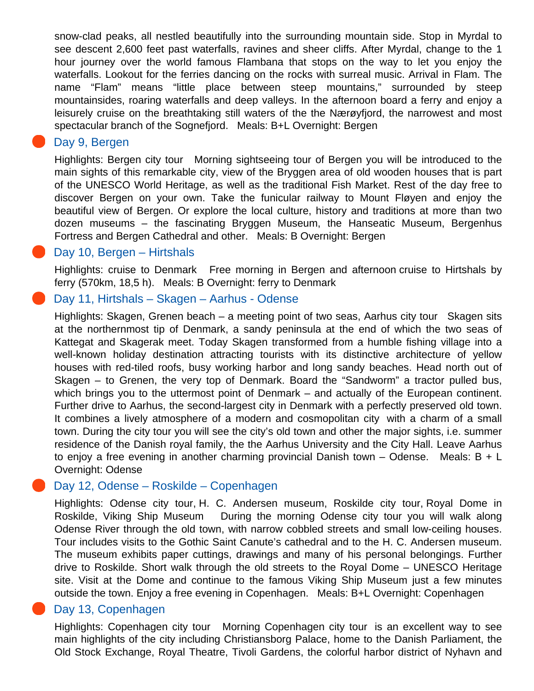snow-clad peaks, all nestled beautifully into the surrounding mountain side. Stop in Myrdal to see descent 2,600 feet past waterfalls, ravines and sheer cliffs. After Myrdal, change to the 1 hour journey over the world famous Flambana that stops on the way to let you enjoy the waterfalls. Lookout for the ferries dancing on the rocks with surreal music. Arrival in Flam. The name "Flam" means "little place between steep mountains," surrounded by steep mountainsides, roaring waterfalls and deep valleys. In the afternoon board a ferry and enjoy a leisurely cruise on the breathtaking still waters of the the Nærøyfjord, the narrowest and most spectacular branch of the Sognefjord. Meals: B+L Overnight: Bergen

#### Day 9, Bergen

Highlights: Bergen city tour Morning sightseeing tour of Bergen you will be introduced to the main sights of this remarkable city, view of the Bryggen area of old wooden houses that is part of the UNESCO World Heritage, as well as the traditional Fish Market. Rest of the day free to discover Bergen on your own. Take the funicular railway to Mount Fløyen and enjoy the beautiful view of Bergen. Or explore the local culture, history and traditions at more than two dozen museums – the fascinating Bryggen Museum, the Hanseatic Museum, Bergenhus Fortress and Bergen Cathedral and other. Meals: B Overnight: Bergen

#### Day 10, Bergen – Hirtshals

Highlights: cruise to Denmark Free morning in Bergen and afternoon cruise to Hirtshals by ferry (570km, 18,5 h). Meals: B Overnight: ferry to Denmark

#### Day 11, Hirtshals – Skagen – Aarhus - Odense

Highlights: Skagen, Grenen beach – a meeting point of two seas, Aarhus city tour Skagen sits at the northernmost tip of Denmark, a sandy peninsula at the end of which the two seas of Kattegat and Skagerak meet. Today Skagen transformed from a humble fishing village into a well-known holiday destination attracting tourists with its distinctive architecture of yellow houses with red-tiled roofs, busy working harbor and long sandy beaches. Head north out of Skagen – to Grenen, the very top of Denmark. Board the "Sandworm" a tractor pulled bus, which brings you to the uttermost point of Denmark – and actually of the European continent. Further drive to Aarhus, the second-largest city in Denmark with a perfectly preserved old town. It combines a lively atmosphere of a modern and cosmopolitan city with a charm of a small town. During the city tour you will see the city's old town and other the major sights, i.e. summer residence of the Danish royal family, the the Aarhus University and the City Hall. Leave Aarhus to enjoy a free evening in another charming provincial Danish town – Odense. Meals:  $B + L$ Overnight: Odense

#### Day 12, Odense – Roskilde – Copenhagen

Highlights: Odense city tour, H. C. Andersen museum, Roskilde city tour, Royal Dome in Roskilde, Viking Ship Museum During the morning Odense city tour you will walk along Odense River through the old town, with narrow cobbled streets and small low-ceiling houses. Tour includes visits to the Gothic Saint Canute's cathedral and to the H. C. Andersen museum. The museum exhibits paper cuttings, drawings and many of his personal belongings. Further drive to Roskilde. Short walk through the old streets to the Royal Dome – UNESCO Heritage site. Visit at the Dome and continue to the famous Viking Ship Museum just a few minutes outside the town. Enjoy a free evening in Copenhagen. Meals: B+L Overnight: Copenhagen

#### Day 13, Copenhagen

Highlights: Copenhagen city tour Morning Copenhagen city tour is an excellent way to see main highlights of the city including Christiansborg Palace, home to the Danish Parliament, the Old Stock Exchange, Royal Theatre, Tivoli Gardens, the colorful harbor district of Nyhavn and